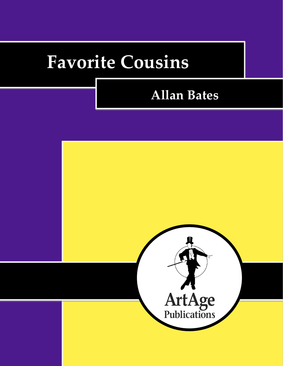# **Favorite Cousins**

# **Allan Bates**

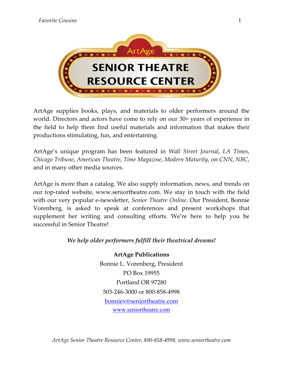

ArtAge supplies books, plays, and materials to older performers around the world. Directors and actors have come to rely on our 30+ years of experience in the field to help them find useful materials and information that makes their productions stimulating, fun, and entertaining.

ArtAge's unique program has been featured in *Wall Street Journal*, *LA Times*, *Chicago Tribune*, *American Theatre*, *Time Magazine*, *Modern Maturity*, on *CNN*, *NBC*, and in many other media sources.

ArtAge is more than a catalog. We also supply information, news, and trends on our top-rated website, www.seniortheatre.com. We stay in touch with the field with our very popular e-newsletter, *Senior Theatre Online*. Our President, Bonnie Vorenberg, is asked to speak at conferences and present workshops that supplement her writing and consulting efforts. We're here to help you be successful in Senior Theatre!

#### *We help older performers fulfill their theatrical dreams!*

**ArtAge Publications** Bonnie L. Vorenberg, President PO Box 19955 Portland OR 97280 503-246-3000 or 800-858-4998 bonniev@seniortheatre.com www.seniortheatre.com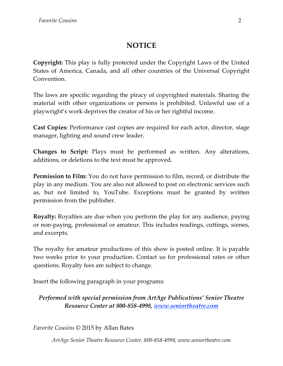### **NOTICE**

**Copyright:** This play is fully protected under the Copyright Laws of the United States of America, Canada, and all other countries of the Universal Copyright Convention.

The laws are specific regarding the piracy of copyrighted materials. Sharing the material with other organizations or persons is prohibited. Unlawful use of a playwright's work deprives the creator of his or her rightful income.

**Cast Copies:** Performance cast copies are required for each actor, director, stage manager, lighting and sound crew leader.

**Changes to Script:** Plays must be performed as written. Any alterations, additions, or deletions to the text must be approved.

**Permission to Film:** You do not have permission to film, record, or distribute the play in any medium. You are also not allowed to post on electronic services such as, but not limited to, YouTube. Exceptions must be granted by written permission from the publisher.

**Royalty:** Royalties are due when you perform the play for any audience, paying or non-paying, professional or amateur. This includes readings, cuttings, scenes, and excerpts.

The royalty for amateur productions of this show is posted online. It is payable two weeks prior to your production. Contact us for professional rates or other questions. Royalty fees are subject to change.

Insert the following paragraph in your programs:

*Performed with special permission from ArtAge Publications' Senior Theatre Resource Center at 800-858-4998, www.seniortheatre.com*

*Favorite Cousins* © 2015 by Allan Bates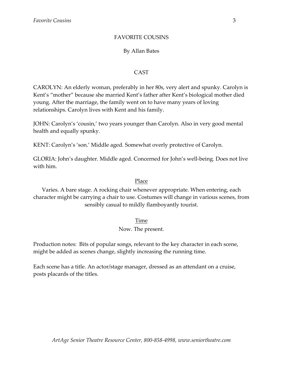#### FAVORITE COUSINS

#### By Allan Bates

#### CAST

CAROLYN: An elderly woman, preferably in her 80s, very alert and spunky. Carolyn is Kent's "mother" because she married Kent's father after Kent's biological mother died young. After the marriage, the family went on to have many years of loving relationships. Carolyn lives with Kent and his family.

JOHN: Carolyn's 'cousin,' two years younger than Carolyn. Also in very good mental health and equally spunky.

KENT: Carolyn's 'son.' Middle aged. Somewhat overly protective of Carolyn.

GLORIA: John's daughter. Middle aged. Concerned for John's well-being. Does not live with him.

#### Place

Varies. A bare stage. A rocking chair whenever appropriate. When entering, each character might be carrying a chair to use. Costumes will change in various scenes, from sensibly casual to mildly flamboyantly tourist.

#### Time

#### Now. The present.

Production notes: Bits of popular songs, relevant to the key character in each scene, might be added as scenes change, slightly increasing the running time.

Each scene has a title. An actor/stage manager, dressed as an attendant on a cruise, posts placards of the titles.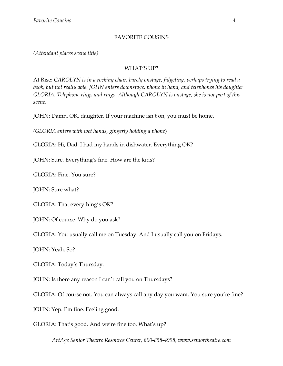#### FAVORITE COUSINS

*(Attendant places scene title)*

#### WHAT'S UP?

At Rise: *CAROLYN is in a rocking chair, barely onstage, fidgeting, perhaps trying to read a book, but not really able. JOHN enters downstage, phone in hand, and telephones his daughter GLORIA. Telephone rings and rings. Although CAROLYN is onstage, she is not part of this scene*.

JOHN: Damn. OK, daughter. If your machine isn't on, you must be home.

*(GLORIA enters with wet hands, gingerly holding a phone*)

GLORIA: Hi, Dad. I had my hands in dishwater. Everything OK?

JOHN: Sure. Everything's fine. How are the kids?

GLORIA: Fine. You sure?

JOHN: Sure what?

GLORIA: That everything's OK?

JOHN: Of course. Why do you ask?

GLORIA: You usually call me on Tuesday. And I usually call you on Fridays.

JOHN: Yeah. So?

GLORIA: Today's Thursday.

JOHN: Is there any reason I can't call you on Thursdays?

GLORIA: Of course not. You can always call any day you want. You sure you're fine?

JOHN: Yep. I'm fine. Feeling good.

GLORIA: That's good. And we're fine too. What's up?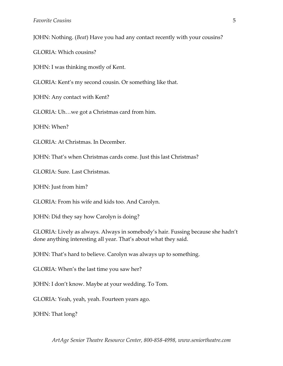JOHN: Nothing. (*Beat*) Have you had any contact recently with your cousins?

GLORIA: Which cousins?

JOHN: I was thinking mostly of Kent.

GLORIA: Kent's my second cousin. Or something like that.

JOHN: Any contact with Kent?

GLORIA: Uh…we got a Christmas card from him.

JOHN: When?

GLORIA: At Christmas. In December.

JOHN: That's when Christmas cards come. Just this last Christmas?

GLORIA: Sure. Last Christmas.

JOHN: Just from him?

GLORIA: From his wife and kids too. And Carolyn.

JOHN: Did they say how Carolyn is doing?

GLORIA: Lively as always. Always in somebody's hair. Fussing because she hadn't done anything interesting all year. That's about what they said.

JOHN: That's hard to believe. Carolyn was always up to something.

GLORIA: When's the last time you saw her?

JOHN: I don't know. Maybe at your wedding. To Tom.

GLORIA: Yeah, yeah, yeah. Fourteen years ago.

JOHN: That long?